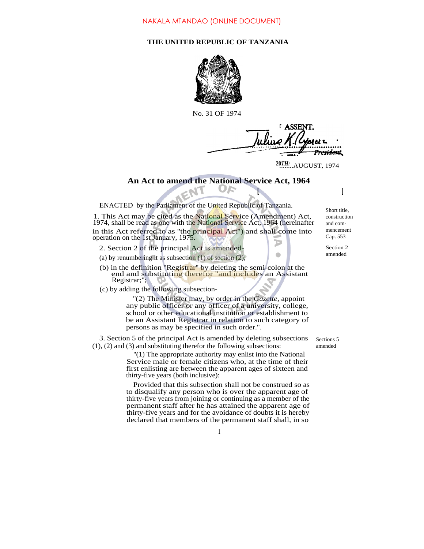## **THE UNITED REPUBLIC OF TANZANIA**



No. 31 OF 1974

**LASSEN** 

**<sup>20</sup>***TH:* ........AUGUST, 1974

**[ ]**

## **An Act to amend the National Service Act, 1964**

ENACTED by the Parliament of the United Republic of Tanzania.

1. This Act may be cited as the National Service (Amendment) Act, 1974, shall be read as one with the National Service Act, 1964 (hereinafter in this Act referred to as "the principal Act") and shall come into operation on the 1st January, 1975.

- 2. Section 2 of the principal Act is amended-
- (a) by renumbering it as subsection  $(1)$  of section  $(2)$ ;
- (b) in the definition ''Registrar'' by deleting the semi-colon at the end and substituting therefor "and includes an Assistant" Registrar;";
- (c) by adding the following subsection-

''(2) The Minister may, by order in the *Gazette,* appoint any public officer or any officer of a university, college, school or other educational institution or establishment to be an Assistant Registrar in relation to such category of persons as may be specified in such order.''.

3. Section 5 of the principal Act is amended by deleting subsections (1), (2) and (3) and substituting therefor the following subsections:

> ''(1) The appropriate authority may enlist into the National Service male or female citizens who, at the time of their first enlisting are between the apparent ages of sixteen and thirty-five years (both inclusive):

> Provided that this subsection shall not be construed so as to disqualify any person who is over the apparent age of thirty-five years from joining or continuing as a member of the permanent staff after he has attained the apparent age of thirty-five years and for the avoidance of doubts it is hereby declared that members of the permanent staff shall, in so

Short title, construction and commencement Cap. 553

Section 2 amended

Sections 5 amended

1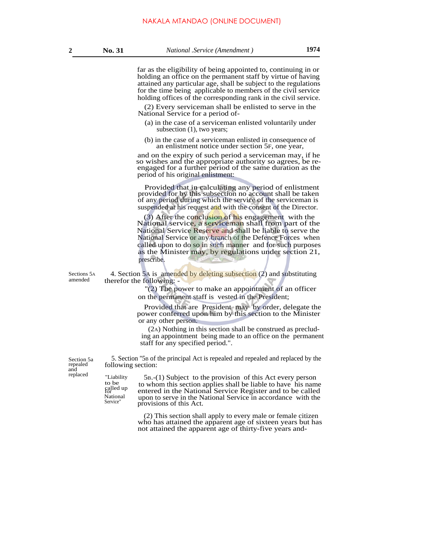far as the eligibility of being appointed to, continuing in or holding an office on the permanent staff by virtue of having attained any particular age, shall be subject to the regulations for the time being applicable to members of the civil service holding offices of the corresponding rank in the civil service.

(2) Every serviceman shall be enlisted to serve in the National Service for a period of-

- (a) in the case of a serviceman enlisted voluntarily under subsection (1), two years;
- (b) in the case of a serviceman enlisted in consequence of an enlistment notice under section 5F, one year,

and on the expiry of such period a serviceman may, if he so wishes and the appropriate authority so agrees, be reengaged for a further period of the same duration as the period of his original enlistment:

Provided that in calculating any period of enlistment provided for by this subsection no account shall be taken of any period during which the service of the serviceman is suspended at his request and with the consent of the Director.

(3) After the conclusion of his engagement with the National service, a serviceman shall from part of the National Service Reserve and shall be liable to serve the National Service or any branch of the Defence Forces when called upon to do so in such manner and for such purposes as the Minister may, by regulations under section 21, prescribe.

"Liability to be called up<br>for<br>National

Sections 5A 4. Section 5A is amended by deleting subsection (2) and substituting amended therefor the following: therefor the following:  $\cdot$ 

> ''(2) The power to make an appointment of an officer on the permanent staff is vested in the President;

Provided that are President may by order, delegate the power conferred upon him by this section to the Minister or any other person.

(2A) Nothing in this section shall be construed as precluding an appointment being made to an office on the permanent staff for any specified period.".

Section 5a repealed and

5. Section ''5B of the principal Act is repealed and repealed and replaced by the following section:

replaced "Liability  $5B-(1)$  Subject to the provision of this Act every person to whom this section applies shall be liable to have his name entered in the National Service Register and to be called National upon to serve in the National Service in accordance with the Service" requisions of this  $\Delta ct$ provisions of this Act.

> (2) This section shall apply to every male or female citizen who has attained the apparent age of sixteen years but has not attained the apparent age of thirty-five years and-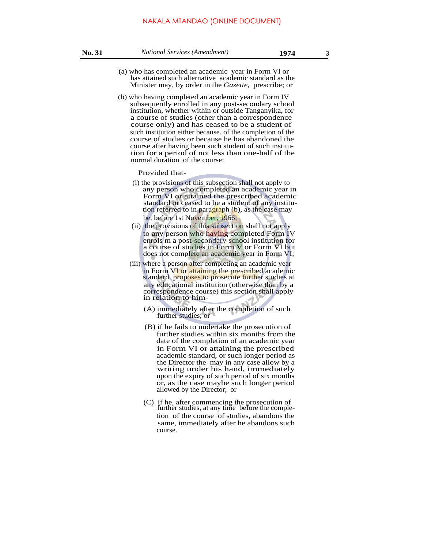- (a) who has completed an academic year in Form VI or has attained such alternative academic standard as the Minister may, by order in the *Gazette,* prescribe; or
- (b) who having completed an academic year in Form IV subsequently enrolled in any post-secondary school institution, whether within or outside Tanganyika, for a course of studies (other than a correspondence course only) and has ceased to be a student of such institution either because. of the completion of the course of studies or because he has abandoned the course after having been such student of such institution for a period of not less than one-half of the normal duration of the course:

Provided that-

- (i) the provisions of this subsection shall not apply to any person who completed an academic year in Form VI or attained the prescribed academic standard or ceased to be a student of any institution referred to in paragraph (b), as the case may be, before 1st November, 1966;
- (ii) the provisions of this subsection shall not apply to any person who having completed Form IV enrols m a post-secondary school institution for a course of studies in Form V or Form VI but does not complete an academic year in Form VI;
- (iii) where a person after completing an academic year in Form VI or attaining the prescribed academic standard proposes to prosecute further studies at any educational institution (otherwise than by a correspondence course) this section shall apply in relation to him-
	- (A) immediately after the completion of such further studies; or
	- (B) if he fails to undertake the prosecution of further studies within six months from the date of the completion of an academic year in Form VI or attaining the prescribed academic standard, or such longer period as the Director the may in any case allow by a writing under his hand, immediately upon the expiry of such period of six months or, as the case maybe such longer period allowed by the Director; or
	- (C) if he, after commencing the prosecution of further studies, at any time before the completion of the course of studies, abandons the same, immediately after he abandons such course.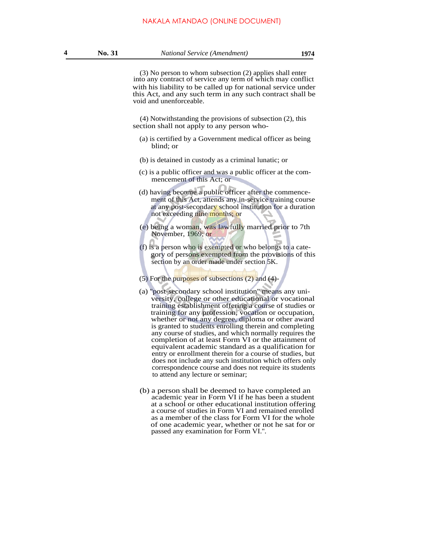(3) No person to whom subsection (2) applies shall enter into any contract of service any term of which may conflict with his liability to be called up for national service under this Act, and any such term in any such contract shall be void and unenforceable.

(4) Notwithstanding the provisions of subsection (2), this section shall not apply to any person who-

- (a) is certified by a Government medical officer as being blind; or
- (b) is detained in custody as a criminal lunatic; or
- (c) is a public officer and was a public officer at the commencement of this Act; or
- (d) having become a public officer after the commencement of this Act, attends any in-service training course at any post-secondary school institution for a duration not exceeding nine months; or
- (e) being a woman, was lawfully married prior to 7th November, 1969; or
- (f) is a person who is exempted or who belongs to a category of persons exempted from the provisions of this section by an order made under section 5K.
- (5) For the purposes of subsections (2) and (4)-
- (a) ''post-secondary school institution'' means any university, college or other educational or vocational training establishment offering a course of studies or training for any profession, vocation or occupation, whether or not any degree, diploma or other award is granted to students enrolling therein and completing any course of studies, and which normally requires the completion of at least Form VI or the attainment of equivalent academic standard as a qualification for entry or enrollment therein for a course of studies, but does not include any such institution which offers only correspondence course and does not require its students to attend any lecture or seminar;
- (b) a person shall be deemed to have completed an academic year in Form VI if he has been a student at a school or other educational institution offering a course of studies in Form VI and remained enrolled as a member of the class for Form VI for the whole of one academic year, whether or not he sat for or passed any examination for Form VI.''.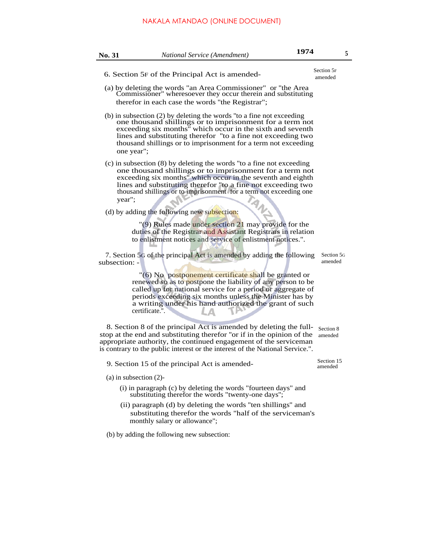## NAKALA MTANDAO (ONLINE DOCUMENT)

| No. 31        | <b>National Service (Amendment)</b>                                                                                                                                                                                                                                                                                                            | 1974 |                       | 5 |
|---------------|------------------------------------------------------------------------------------------------------------------------------------------------------------------------------------------------------------------------------------------------------------------------------------------------------------------------------------------------|------|-----------------------|---|
|               | 6. Section 5F of the Principal Act is amended-                                                                                                                                                                                                                                                                                                 |      | Section 5F<br>amended |   |
|               | (a) by deleting the words "an Area Commissioner" or "the Area<br>Commissioner" wheresoever they occur therein and substituting<br>therefor in each case the words "the Registrar";                                                                                                                                                             |      |                       |   |
|               | (b) in subsection (2) by deleting the words "to a fine not exceeding<br>one thousand shillings or to imprisonment for a term not<br>exceeding six months" which occur in the sixth and seventh<br>lines and substituting therefor "to a fine not exceeding two<br>thousand shillings or to imprisonment for a term not exceeding<br>one year"; |      |                       |   |
| year";        | (c) in subsection (8) by deleting the words "to a fine not exceeding<br>one thousand shillings or to imprisonment for a term not<br>exceeding six months" which occur in the seventh and eighth<br>lines and substituting therefor "to a fine not exceeding two<br>thousand shillings or to imprisonment for a term not exceeding one<br>ANS   |      |                       |   |
|               | (d) by adding the following new subsection:                                                                                                                                                                                                                                                                                                    |      |                       |   |
|               | "(9) Rules made under section 21 may provide for the<br>duties of the Registrar and Assistant Registrars in relation<br>to enlistment notices and service of enlistment notices.".                                                                                                                                                             |      |                       |   |
| subsection: - | 7. Section 5G of the principal Act is amended by adding the following                                                                                                                                                                                                                                                                          |      | Section 5G<br>amended |   |
|               | "(6) No postponement certificate shall be granted or<br>renewed so as to postpone the liability of any person to be<br>called up for national service for a period or aggregate of<br>periods exceeding six months unless the Minister has by<br>a writing under his hand authorized the grant of such<br>certificate.".                       |      |                       |   |
|               | 8. Section 8 of the principal Act is amended by deleting the full-<br>stop at the end and substituting therefor "or if in the opinion of the<br>appropriate authority, the continued engagement of the serviceman<br>is contrary to the public interest or the interest of the National Service.".                                             |      | Section 8<br>amended  |   |
|               | 9. Section 15 of the principal Act is amended-                                                                                                                                                                                                                                                                                                 |      | Section 15<br>amended |   |
|               | $(a)$ in subsection $(2)$ -                                                                                                                                                                                                                                                                                                                    |      |                       |   |
|               | (i) in paragraph (c) by deleting the words "fourteen days" and<br>substituting therefor the words "twenty-one days";                                                                                                                                                                                                                           |      |                       |   |
|               | (ii) paragraph (d) by deleting the words "ten shillings" and<br>substituting therefor the words "half of the serviceman's<br>monthly salary or allowance";                                                                                                                                                                                     |      |                       |   |
|               | (b) by adding the following new subsection:                                                                                                                                                                                                                                                                                                    |      |                       |   |
|               |                                                                                                                                                                                                                                                                                                                                                |      |                       |   |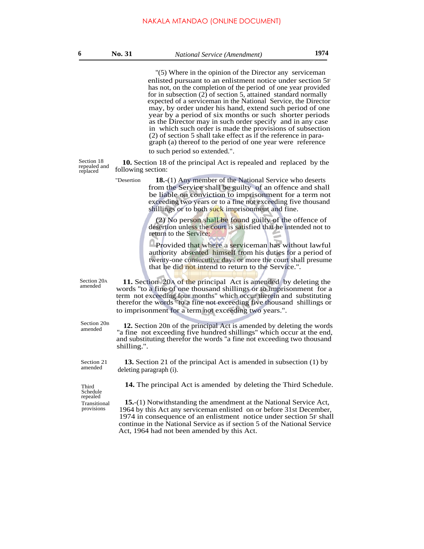''(5) Where in the opinion of the Director any serviceman enlisted pursuant to an enlistment notice under section 5F has not, on the completion of the period of one year provided for in subsection (2) of section 5, attained standard normally expected of a serviceman in the National Service, the Director may, by order under his hand, extend such period of one year by a period of six months or such shorter periods as the Director may in such order specify and in any case in which such order is made the provisions of subsection (2) of section 5 shall take effect as if the reference in paragraph (a) thereof to the period of one year were reference to such period so extended.".

replaced

"Desertion

Section 18 **10.** Section 18 of the principal Act is repealed and replaced by the repealed and  $\frac{18}{2}$ following section:

> **18.**-(1) Any member of the National Service who deserts from the Service shall be guilty of an offence and shall be liable on conviction to imprisonment for a term not exceeding two years or to a fine not exceeding five thousand shillings or to both suck imprisonment and fine.

(2) No person shall be found guilty of the offence of desertion unless the court is satisfied that he intended not to return to the Service:

Provided that where a serviceman has without lawful authority absented himself from his duties for a period of twenty-one consecutive days or more the court shall presume that he did not intend to return to the Service.''.

Section 20A<br>amended

Section 20<sub>p</sub> amended

11. Section 20A of the principal Act is amended by deleting the words ''to a fine of one thousand shillings or to imprisonment for a term not exceeding four months" which occur therein and substituting therefor the words "to a fine not exceeding five thousand shillings or to imprisonment for a term not exceeding two years.".

**12.** Section 20B of the principal Act is amended by deleting the words "a fine not exceeding five hundred shillings" which occur at the end, and substituting therefor the words ''a fine not exceeding two thousand shilling.''.

Section 21 amended

**13.** Section 21 of the principal Act is amended in subsection (1) by deleting paragraph (i).

Schedule repealed Transitional provisions

Third **14.** The principal Act is amended by deleting the Third Schedule.

**15.**-(1) Notwithstanding the amendment at the National Service Act, 1964 by this Act any serviceman enlisted on or before 31st December, 1974 in consequence of an enlistment notice under section 5F shall continue in the National Service as if section 5 of the National Service Act, 1964 had not been amended by this Act.